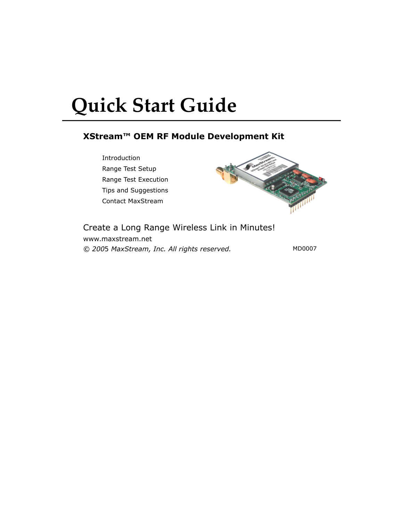# **Quick Start Guide**

# **XStream™ OEM RF Module Development Kit**

Introduction Range Test Setup Range Test Execution Tips and Suggestions Contact MaxStream



## Create a Long Range Wireless Link in Minutes!

www.maxstream.net *© 2005 MaxStream, Inc. All rights reserved.* MD0007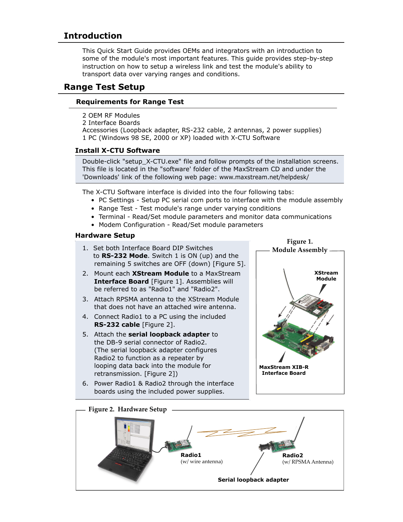# **Introduction**

This Quick Start Guide provides OEMs and integrators with an introduction to some of the module's most important features. This guide provides step-by-step instruction on how to setup a wireless link and test the module's ability to transport data over varying ranges and conditions.

# **Range Test Setup**

## **Requirements for Range Test**

- 2 OEM RF Modules
- 2 Interface Boards

Accessories (Loopback adapter, RS-232 cable, 2 antennas, 2 power supplies) 1 PC (Windows 98 SE, 2000 or XP) loaded with X-CTU Software

## **Install X-CTU Software**

Double-click "setup\_X-CTU.exe" file and follow prompts of the installation screens. This file is located in the "software' folder of the MaxStream CD and under the 'Downloads' link of the following web page: www.maxstream.net/helpdesk/

The X-CTU Software interface is divided into the four following tabs:

- PC Settings Setup PC serial com ports to interface with the module assembly
- Range Test Test module's range under varying conditions
- Terminal Read/Set module parameters and monitor data communications
- Modem Configuration Read/Set module parameters

#### **Hardware Setup**

- 1. Set both Interface Board DIP Switches to **RS-232 Mode**. Switch 1 is ON (up) and the remaining 5 switches are OFF (down) [Figure 5].
- 2. Mount each **XStream Module** to a MaxStream  **Interface Board** [Figure 1]. Assemblies will be referred to as "Radio1" and "Radio2".
- 3. Attach RPSMA antenna to the XStream Module that does not have an attached wire antenna.
- 4. Connect Radio1 to a PC using the included  **RS-232 cable** [Figure 2].
- 5. Attach the **serial loopback adapter** to the DB-9 serial connector of Radio2. (The serial loopback adapter configures Radio2 to function as a repeater by looping data back into the module for retransmission. [Figure 2])
- 6. Power Radio1 & Radio2 through the interface boards using the included power supplies.





#### **Figure 2. Hardware Setup**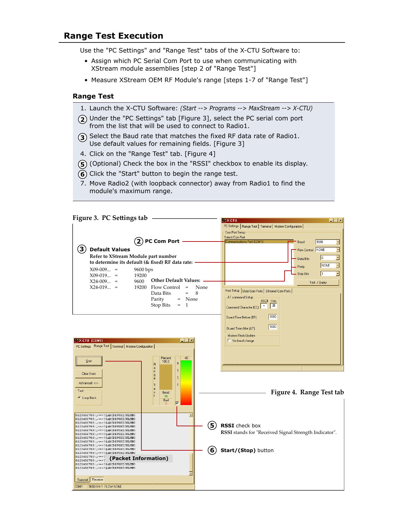# **Range Test Execution**

Use the "PC Settings" and "Range Test" tabs of the X-CTU Software to:

- Assign which PC Serial Com Port to use when communicating with XStream module assemblies [step 2 of "Range Test"]
- Measure XStream OEM RF Module's range [steps 1-7 of "Range Test"]

#### **Range Test**

- 1. Launch the X-CTU Software: *(Start --> Programs --> MaxStream --> X-CTU)*
- Under the "PC Settings" tab [Figure 3], select the PC serial com port **2** from the list that will be used to connect to Radio1.
- **3**) Select the Baud rate that matches the fixed RF data rate of Radio1. Use default values for remaining fields. [Figure 3]
- 4. Click on the "Range Test" tab. [Figure 4]
- **(5)** (Optional) Check the box in the "RSSI" checkbox to enable its display.
- **(6)** Click the "Start" button to begin the range test.
- 7. Move Radio2 (with loopback connector) away from Radio1 to find the module's maximum range.